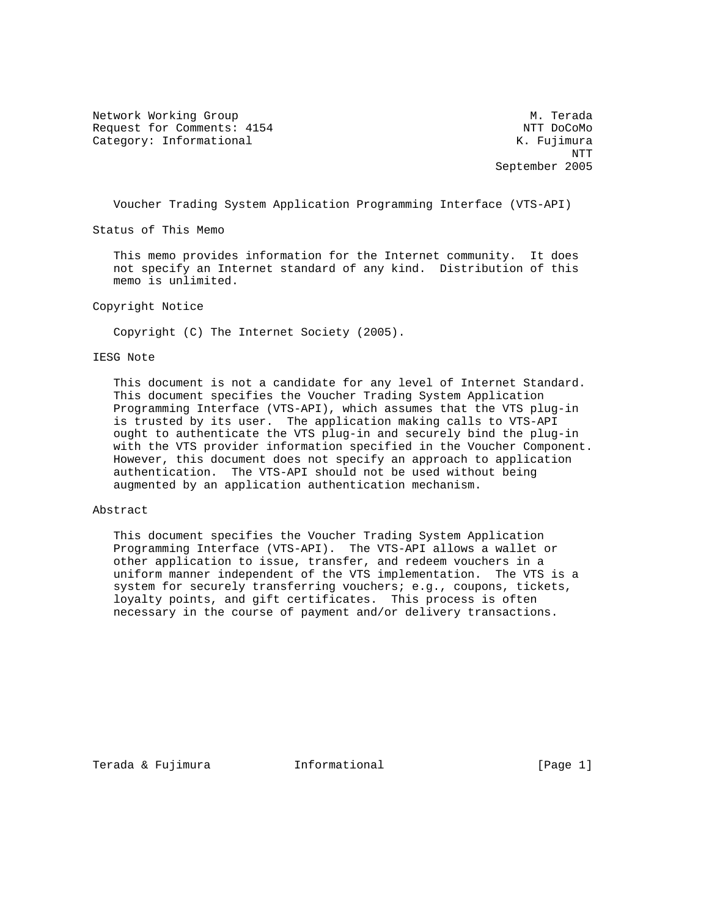Network Working Group Methods and Museum Museum Museum Museum Museum Museum Museum Museum Museum Museum Museum Request for Comments: 4154 NTT DoCoMo Category: Informational and Manuscriptic Category: The Category: The Category: The Category: The Category: The Category: The Category: The Category: The Category: The Category: The Category: The Category: The Category: The

 NTT September 2005

Voucher Trading System Application Programming Interface (VTS-API)

Status of This Memo

 This memo provides information for the Internet community. It does not specify an Internet standard of any kind. Distribution of this memo is unlimited.

Copyright Notice

Copyright (C) The Internet Society (2005).

# IESG Note

 This document is not a candidate for any level of Internet Standard. This document specifies the Voucher Trading System Application Programming Interface (VTS-API), which assumes that the VTS plug-in is trusted by its user. The application making calls to VTS-API ought to authenticate the VTS plug-in and securely bind the plug-in with the VTS provider information specified in the Voucher Component. However, this document does not specify an approach to application authentication. The VTS-API should not be used without being augmented by an application authentication mechanism.

# Abstract

 This document specifies the Voucher Trading System Application Programming Interface (VTS-API). The VTS-API allows a wallet or other application to issue, transfer, and redeem vouchers in a uniform manner independent of the VTS implementation. The VTS is a system for securely transferring vouchers; e.g., coupons, tickets, loyalty points, and gift certificates. This process is often necessary in the course of payment and/or delivery transactions.

Terada & Fujimura Informational [Page 1]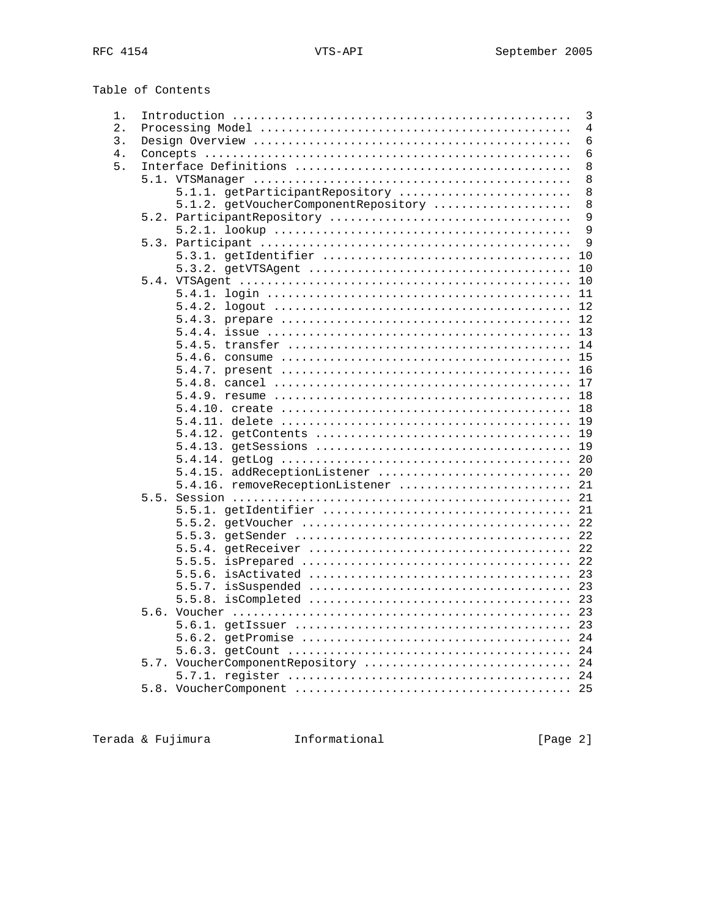| Table of Contents |
|-------------------|
|                   |

| 1.    |      | 3                                         |  |  |  |  |  |  |
|-------|------|-------------------------------------------|--|--|--|--|--|--|
| $2$ . |      | 4                                         |  |  |  |  |  |  |
| 3.    |      | $\epsilon$                                |  |  |  |  |  |  |
| 4.    |      | 6                                         |  |  |  |  |  |  |
| 5.    |      |                                           |  |  |  |  |  |  |
|       |      | 8                                         |  |  |  |  |  |  |
|       |      | 5.1.1. getParticipantRepository<br>8      |  |  |  |  |  |  |
|       |      | 5.1.2. getVoucherComponentRepository<br>8 |  |  |  |  |  |  |
|       |      | 9                                         |  |  |  |  |  |  |
|       |      | 9                                         |  |  |  |  |  |  |
|       |      | 9                                         |  |  |  |  |  |  |
|       |      | 10                                        |  |  |  |  |  |  |
|       |      | 10                                        |  |  |  |  |  |  |
|       | 5.4. | 10                                        |  |  |  |  |  |  |
|       |      | 5.4.1.<br>11                              |  |  |  |  |  |  |
|       |      | 12                                        |  |  |  |  |  |  |
|       |      | 12                                        |  |  |  |  |  |  |
|       |      | 13                                        |  |  |  |  |  |  |
|       |      | 14                                        |  |  |  |  |  |  |
|       |      | 15                                        |  |  |  |  |  |  |
|       |      | 16                                        |  |  |  |  |  |  |
|       |      | 17                                        |  |  |  |  |  |  |
|       |      | 18                                        |  |  |  |  |  |  |
|       |      | 18                                        |  |  |  |  |  |  |
|       |      | 19                                        |  |  |  |  |  |  |
|       |      | 19                                        |  |  |  |  |  |  |
|       |      | 19                                        |  |  |  |  |  |  |
|       |      | 20                                        |  |  |  |  |  |  |
|       |      | 5.4.15. addReceptionListener<br>20        |  |  |  |  |  |  |
|       |      | 5.4.16. removeReceptionListener  21       |  |  |  |  |  |  |
|       | 5.5. |                                           |  |  |  |  |  |  |
|       |      | 21                                        |  |  |  |  |  |  |
|       |      | 22                                        |  |  |  |  |  |  |
|       |      | 22                                        |  |  |  |  |  |  |
|       |      | 22                                        |  |  |  |  |  |  |
|       |      |                                           |  |  |  |  |  |  |
|       |      | 23                                        |  |  |  |  |  |  |
|       |      | 23                                        |  |  |  |  |  |  |
|       |      | 23                                        |  |  |  |  |  |  |
|       | 5.6. | 23                                        |  |  |  |  |  |  |
|       |      | 23                                        |  |  |  |  |  |  |
|       |      | 24                                        |  |  |  |  |  |  |
|       |      | 24                                        |  |  |  |  |  |  |
|       |      | 5.7. VoucherComponentRepository  24       |  |  |  |  |  |  |
|       |      |                                           |  |  |  |  |  |  |
|       |      |                                           |  |  |  |  |  |  |
|       |      |                                           |  |  |  |  |  |  |

Terada & Fujimura <a>
Informational

[Page 2]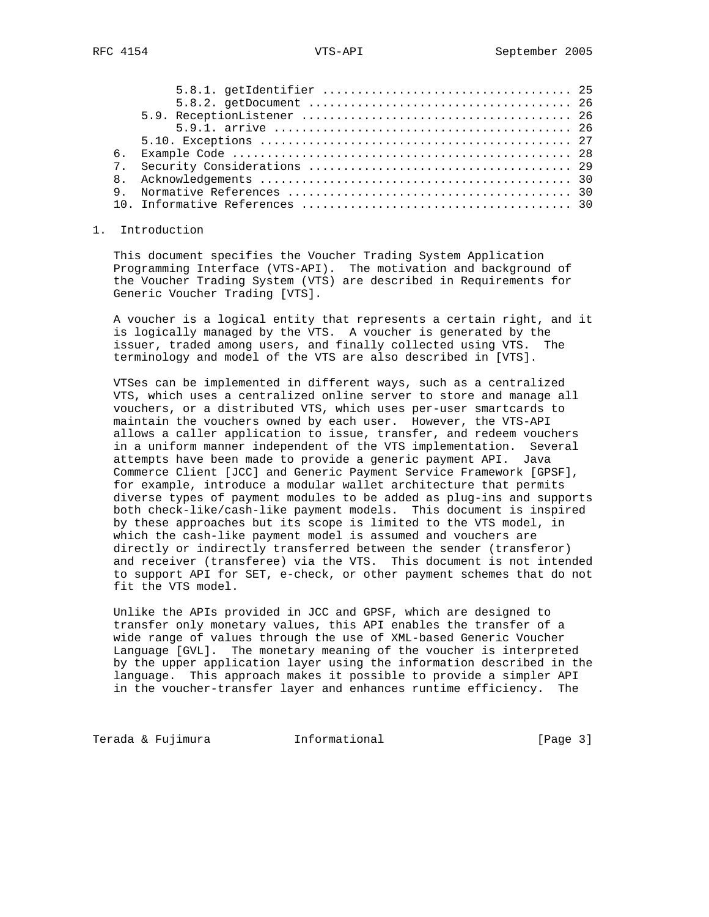| б. |  |
|----|--|
|    |  |
|    |  |
|    |  |
|    |  |
|    |  |

## 1. Introduction

 This document specifies the Voucher Trading System Application Programming Interface (VTS-API). The motivation and background of the Voucher Trading System (VTS) are described in Requirements for Generic Voucher Trading [VTS].

 A voucher is a logical entity that represents a certain right, and it is logically managed by the VTS. A voucher is generated by the issuer, traded among users, and finally collected using VTS. The terminology and model of the VTS are also described in [VTS].

 VTSes can be implemented in different ways, such as a centralized VTS, which uses a centralized online server to store and manage all vouchers, or a distributed VTS, which uses per-user smartcards to maintain the vouchers owned by each user. However, the VTS-API allows a caller application to issue, transfer, and redeem vouchers in a uniform manner independent of the VTS implementation. Several attempts have been made to provide a generic payment API. Java Commerce Client [JCC] and Generic Payment Service Framework [GPSF], for example, introduce a modular wallet architecture that permits diverse types of payment modules to be added as plug-ins and supports both check-like/cash-like payment models. This document is inspired by these approaches but its scope is limited to the VTS model, in which the cash-like payment model is assumed and vouchers are directly or indirectly transferred between the sender (transferor) and receiver (transferee) via the VTS. This document is not intended to support API for SET, e-check, or other payment schemes that do not fit the VTS model.

 Unlike the APIs provided in JCC and GPSF, which are designed to transfer only monetary values, this API enables the transfer of a wide range of values through the use of XML-based Generic Voucher Language [GVL]. The monetary meaning of the voucher is interpreted by the upper application layer using the information described in the language. This approach makes it possible to provide a simpler API in the voucher-transfer layer and enhances runtime efficiency. The

Terada & Fujimura Informational Informational [Page 3]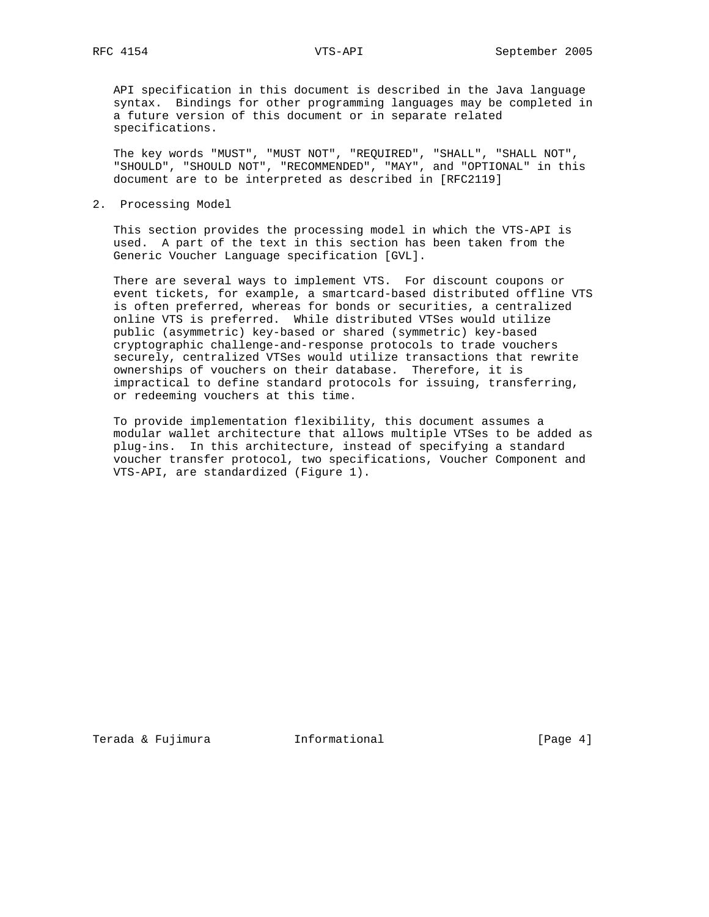API specification in this document is described in the Java language syntax. Bindings for other programming languages may be completed in a future version of this document or in separate related specifications.

 The key words "MUST", "MUST NOT", "REQUIRED", "SHALL", "SHALL NOT", "SHOULD", "SHOULD NOT", "RECOMMENDED", "MAY", and "OPTIONAL" in this document are to be interpreted as described in [RFC2119]

2. Processing Model

 This section provides the processing model in which the VTS-API is used. A part of the text in this section has been taken from the Generic Voucher Language specification [GVL].

 There are several ways to implement VTS. For discount coupons or event tickets, for example, a smartcard-based distributed offline VTS is often preferred, whereas for bonds or securities, a centralized online VTS is preferred. While distributed VTSes would utilize public (asymmetric) key-based or shared (symmetric) key-based cryptographic challenge-and-response protocols to trade vouchers securely, centralized VTSes would utilize transactions that rewrite ownerships of vouchers on their database. Therefore, it is impractical to define standard protocols for issuing, transferring, or redeeming vouchers at this time.

 To provide implementation flexibility, this document assumes a modular wallet architecture that allows multiple VTSes to be added as plug-ins. In this architecture, instead of specifying a standard voucher transfer protocol, two specifications, Voucher Component and VTS-API, are standardized (Figure 1).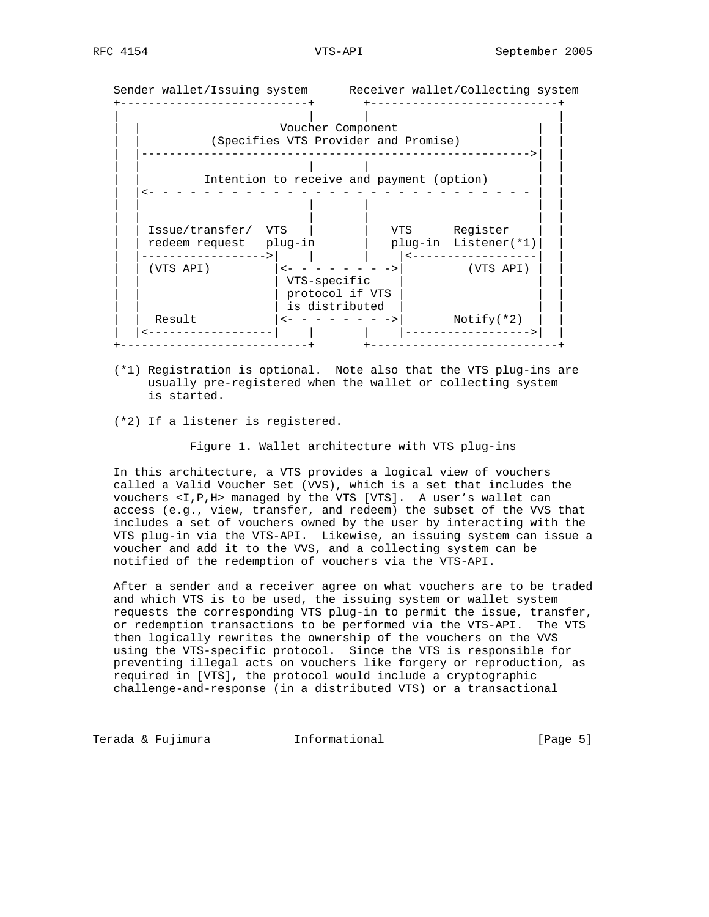Sender wallet/Issuing system Receiver wallet/Collecting system +---------------------------+ +---------------------------+ | | | | Voucher Component (Specifies VTS Provider and Promise) | |-------------------------------------------------------->| | | | | | | | Intention to receive and payment (option) | |<- - - - - - - - - - - - - - - - - - - - - - - - - - - - | | | | | | | | | | | | | | | | Issue/transfer/ VTS | | VTS Register | | | | redeem request plug-in | plug-in Listener(\*1)| | | |------------------>| | | |<------------------| | | | (VTS API) |<- - - - - - - ->| (VTS API) | | | | | VTS-specific | | | | | | protocol if VTS | | | | | | is distributed | | | | | Result |<- - - - - - - ->| Notify(\*2) | | | |<------------------| | | |------------------>| | +---------------------------+ +---------------------------+

- (\*1) Registration is optional. Note also that the VTS plug-ins are usually pre-registered when the wallet or collecting system is started.
- (\*2) If a listener is registered.

Figure 1. Wallet architecture with VTS plug-ins

 In this architecture, a VTS provides a logical view of vouchers called a Valid Voucher Set (VVS), which is a set that includes the vouchers <I,P,H> managed by the VTS [VTS]. A user's wallet can access (e.g., view, transfer, and redeem) the subset of the VVS that includes a set of vouchers owned by the user by interacting with the VTS plug-in via the VTS-API. Likewise, an issuing system can issue a voucher and add it to the VVS, and a collecting system can be notified of the redemption of vouchers via the VTS-API.

 After a sender and a receiver agree on what vouchers are to be traded and which VTS is to be used, the issuing system or wallet system requests the corresponding VTS plug-in to permit the issue, transfer, or redemption transactions to be performed via the VTS-API. The VTS then logically rewrites the ownership of the vouchers on the VVS using the VTS-specific protocol. Since the VTS is responsible for preventing illegal acts on vouchers like forgery or reproduction, as required in [VTS], the protocol would include a cryptographic challenge-and-response (in a distributed VTS) or a transactional

Terada & Fujimura Informational [Page 5]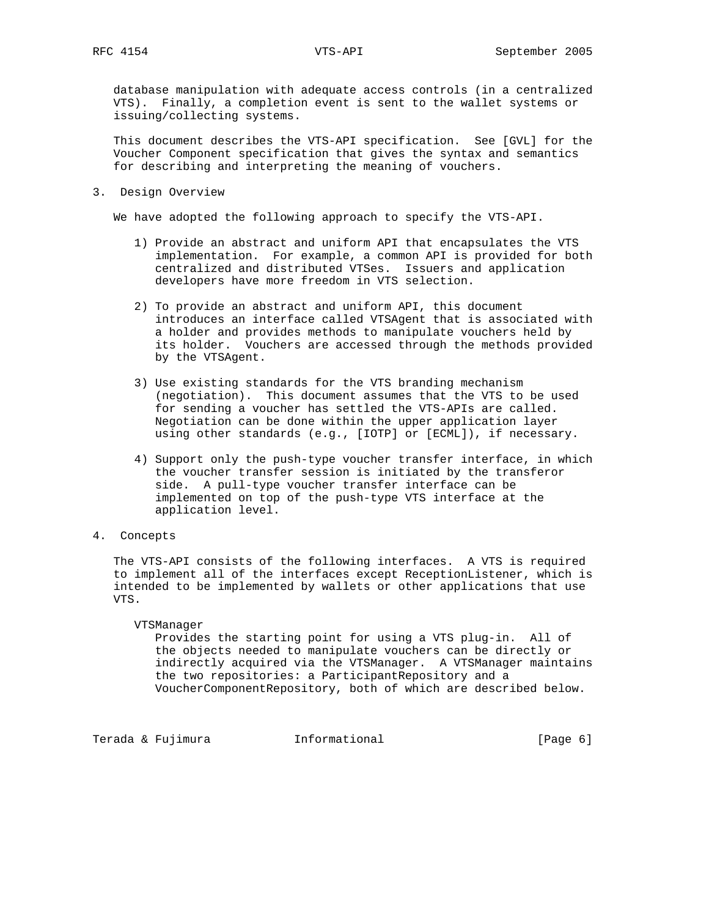database manipulation with adequate access controls (in a centralized VTS). Finally, a completion event is sent to the wallet systems or issuing/collecting systems.

 This document describes the VTS-API specification. See [GVL] for the Voucher Component specification that gives the syntax and semantics for describing and interpreting the meaning of vouchers.

3. Design Overview

We have adopted the following approach to specify the VTS-API.

- 1) Provide an abstract and uniform API that encapsulates the VTS implementation. For example, a common API is provided for both centralized and distributed VTSes. Issuers and application developers have more freedom in VTS selection.
- 2) To provide an abstract and uniform API, this document introduces an interface called VTSAgent that is associated with a holder and provides methods to manipulate vouchers held by its holder. Vouchers are accessed through the methods provided by the VTSAgent.
- 3) Use existing standards for the VTS branding mechanism (negotiation). This document assumes that the VTS to be used for sending a voucher has settled the VTS-APIs are called. Negotiation can be done within the upper application layer using other standards (e.g., [IOTP] or [ECML]), if necessary.
- 4) Support only the push-type voucher transfer interface, in which the voucher transfer session is initiated by the transferor side. A pull-type voucher transfer interface can be implemented on top of the push-type VTS interface at the application level.
- 4. Concepts

 The VTS-API consists of the following interfaces. A VTS is required to implement all of the interfaces except ReceptionListener, which is intended to be implemented by wallets or other applications that use VTS.

#### VTSManager

 Provides the starting point for using a VTS plug-in. All of the objects needed to manipulate vouchers can be directly or indirectly acquired via the VTSManager. A VTSManager maintains the two repositories: a ParticipantRepository and a VoucherComponentRepository, both of which are described below.

Terada & Fujimura (Informational Terada & Fujimura (Page 6)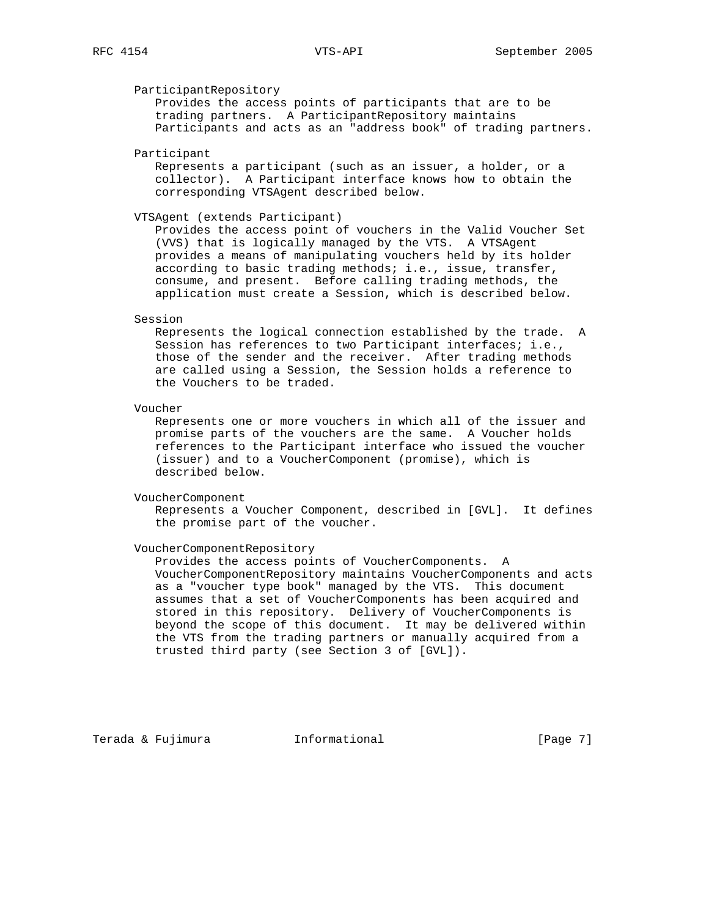# ParticipantRepository

 Provides the access points of participants that are to be trading partners. A ParticipantRepository maintains Participants and acts as an "address book" of trading partners.

Participant

 Represents a participant (such as an issuer, a holder, or a collector). A Participant interface knows how to obtain the corresponding VTSAgent described below.

# VTSAgent (extends Participant)

 Provides the access point of vouchers in the Valid Voucher Set (VVS) that is logically managed by the VTS. A VTSAgent provides a means of manipulating vouchers held by its holder according to basic trading methods; i.e., issue, transfer, consume, and present. Before calling trading methods, the application must create a Session, which is described below.

#### Session

 Represents the logical connection established by the trade. A Session has references to two Participant interfaces; i.e., those of the sender and the receiver. After trading methods are called using a Session, the Session holds a reference to the Vouchers to be traded.

### Voucher

 Represents one or more vouchers in which all of the issuer and promise parts of the vouchers are the same. A Voucher holds references to the Participant interface who issued the voucher (issuer) and to a VoucherComponent (promise), which is described below.

VoucherComponent

 Represents a Voucher Component, described in [GVL]. It defines the promise part of the voucher.

### VoucherComponentRepository

 Provides the access points of VoucherComponents. A VoucherComponentRepository maintains VoucherComponents and acts as a "voucher type book" managed by the VTS. This document assumes that a set of VoucherComponents has been acquired and stored in this repository. Delivery of VoucherComponents is beyond the scope of this document. It may be delivered within the VTS from the trading partners or manually acquired from a trusted third party (see Section 3 of [GVL]).

Terada & Fujimura Informational [Page 7]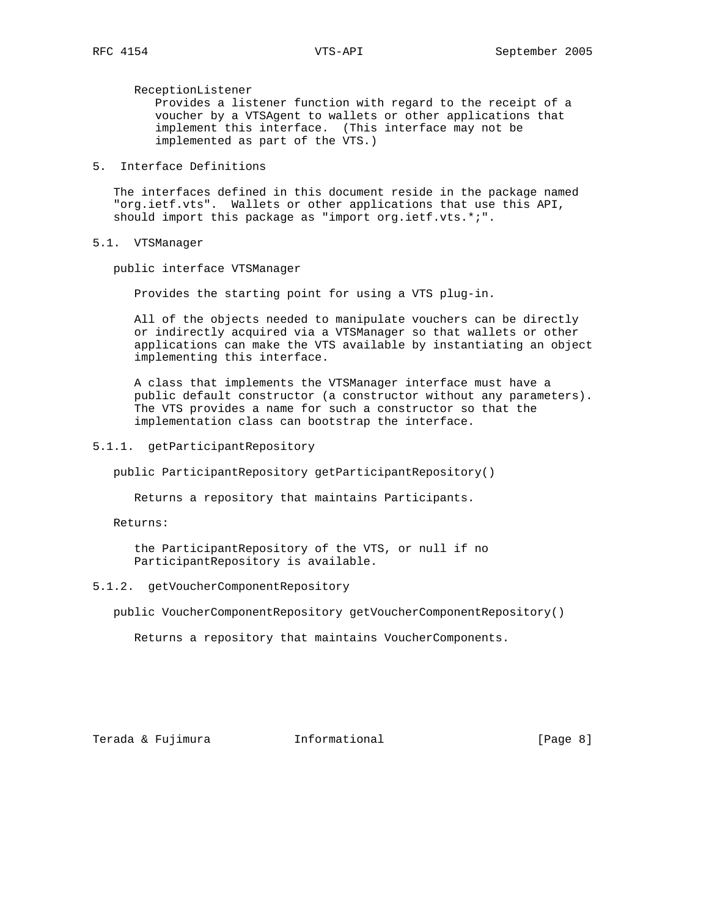ReceptionListener

 Provides a listener function with regard to the receipt of a voucher by a VTSAgent to wallets or other applications that implement this interface. (This interface may not be implemented as part of the VTS.)

# 5. Interface Definitions

 The interfaces defined in this document reside in the package named "org.ietf.vts". Wallets or other applications that use this API, should import this package as "import org.ietf.vts.\*;".

5.1. VTSManager

public interface VTSManager

Provides the starting point for using a VTS plug-in.

 All of the objects needed to manipulate vouchers can be directly or indirectly acquired via a VTSManager so that wallets or other applications can make the VTS available by instantiating an object implementing this interface.

 A class that implements the VTSManager interface must have a public default constructor (a constructor without any parameters). The VTS provides a name for such a constructor so that the implementation class can bootstrap the interface.

5.1.1. getParticipantRepository

public ParticipantRepository getParticipantRepository()

Returns a repository that maintains Participants.

Returns:

 the ParticipantRepository of the VTS, or null if no ParticipantRepository is available.

# 5.1.2. getVoucherComponentRepository

public VoucherComponentRepository getVoucherComponentRepository()

Returns a repository that maintains VoucherComponents.

Terada & Fujimura Informational [Page 8]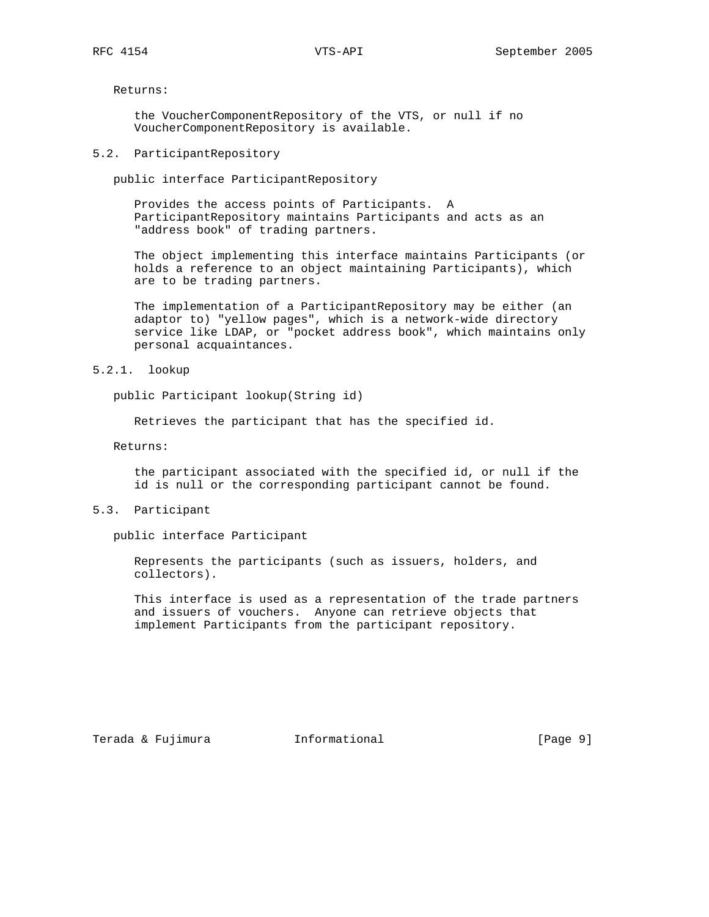Returns:

 the VoucherComponentRepository of the VTS, or null if no VoucherComponentRepository is available.

# 5.2. ParticipantRepository

public interface ParticipantRepository

 Provides the access points of Participants. A ParticipantRepository maintains Participants and acts as an "address book" of trading partners.

 The object implementing this interface maintains Participants (or holds a reference to an object maintaining Participants), which are to be trading partners.

 The implementation of a ParticipantRepository may be either (an adaptor to) "yellow pages", which is a network-wide directory service like LDAP, or "pocket address book", which maintains only personal acquaintances.

## 5.2.1. lookup

public Participant lookup(String id)

Retrieves the participant that has the specified id.

Returns:

 the participant associated with the specified id, or null if the id is null or the corresponding participant cannot be found.

# 5.3. Participant

public interface Participant

 Represents the participants (such as issuers, holders, and collectors).

 This interface is used as a representation of the trade partners and issuers of vouchers. Anyone can retrieve objects that implement Participants from the participant repository.

Terada & Fujimura (Informational Terada & Fujimura (Page 9)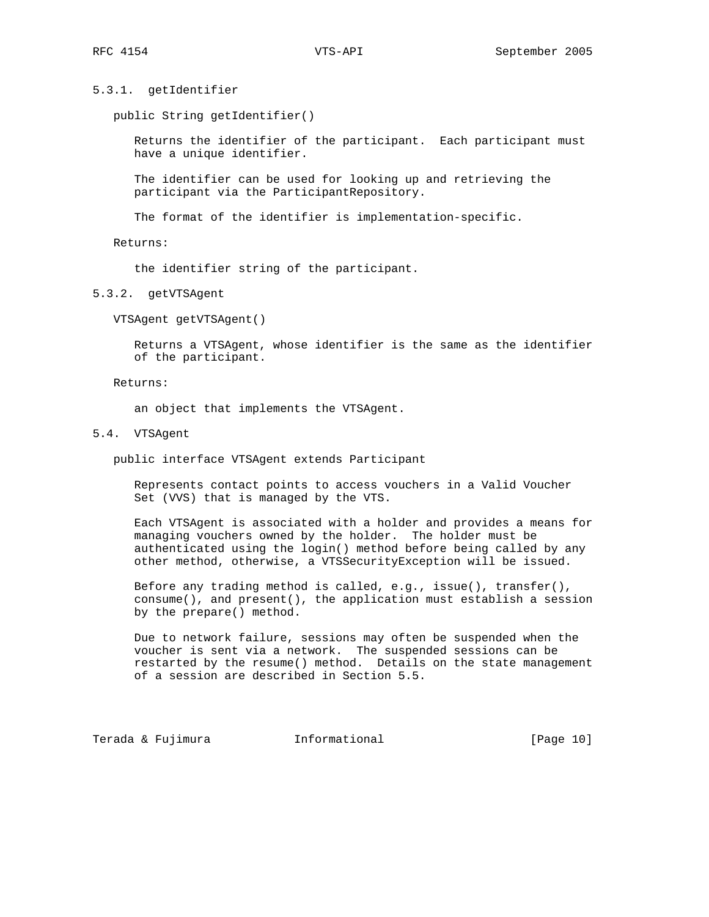5.3.1. getIdentifier

public String getIdentifier()

 Returns the identifier of the participant. Each participant must have a unique identifier.

 The identifier can be used for looking up and retrieving the participant via the ParticipantRepository.

The format of the identifier is implementation-specific.

Returns:

the identifier string of the participant.

5.3.2. getVTSAgent

VTSAgent getVTSAgent()

 Returns a VTSAgent, whose identifier is the same as the identifier of the participant.

Returns:

an object that implements the VTSAgent.

5.4. VTSAgent

public interface VTSAgent extends Participant

 Represents contact points to access vouchers in a Valid Voucher Set (VVS) that is managed by the VTS.

 Each VTSAgent is associated with a holder and provides a means for managing vouchers owned by the holder. The holder must be authenticated using the login() method before being called by any other method, otherwise, a VTSSecurityException will be issued.

 Before any trading method is called, e.g., issue(), transfer(), consume(), and present(), the application must establish a session by the prepare() method.

 Due to network failure, sessions may often be suspended when the voucher is sent via a network. The suspended sessions can be restarted by the resume() method. Details on the state management of a session are described in Section 5.5.

Terada & Fujimura (Informational Terada & Fujimura (Page 10)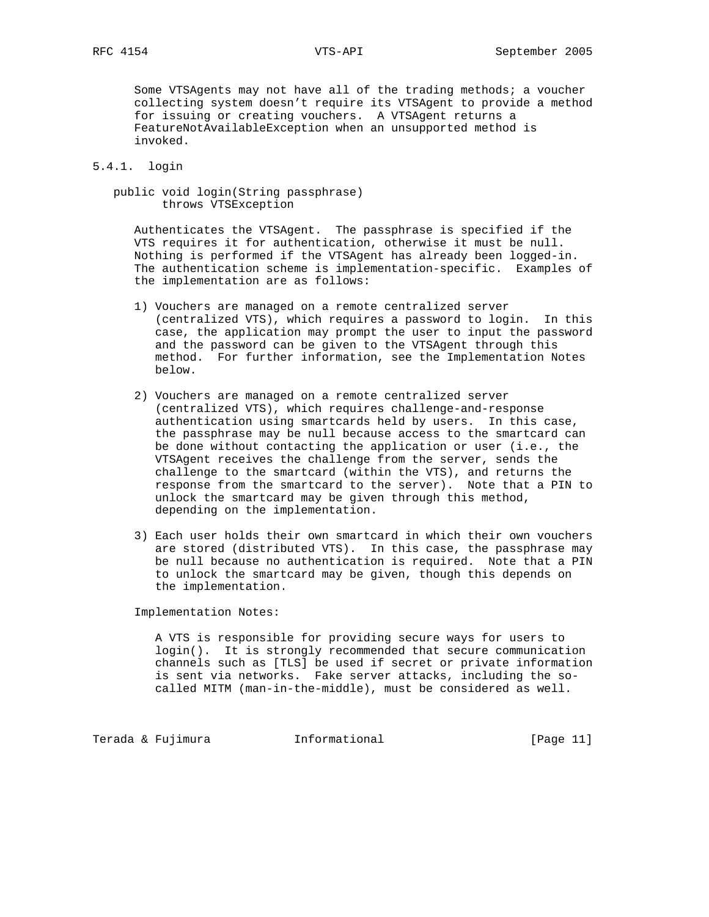Some VTSAgents may not have all of the trading methods; a voucher collecting system doesn't require its VTSAgent to provide a method for issuing or creating vouchers. A VTSAgent returns a FeatureNotAvailableException when an unsupported method is invoked.

# 5.4.1. login

 public void login(String passphrase) throws VTSException

 Authenticates the VTSAgent. The passphrase is specified if the VTS requires it for authentication, otherwise it must be null. Nothing is performed if the VTSAgent has already been logged-in. The authentication scheme is implementation-specific. Examples of the implementation are as follows:

- 1) Vouchers are managed on a remote centralized server (centralized VTS), which requires a password to login. In this case, the application may prompt the user to input the password and the password can be given to the VTSAgent through this method. For further information, see the Implementation Notes below.
- 2) Vouchers are managed on a remote centralized server (centralized VTS), which requires challenge-and-response authentication using smartcards held by users. In this case, the passphrase may be null because access to the smartcard can be done without contacting the application or user (i.e., the VTSAgent receives the challenge from the server, sends the challenge to the smartcard (within the VTS), and returns the response from the smartcard to the server). Note that a PIN to unlock the smartcard may be given through this method, depending on the implementation.
- 3) Each user holds their own smartcard in which their own vouchers are stored (distributed VTS). In this case, the passphrase may be null because no authentication is required. Note that a PIN to unlock the smartcard may be given, though this depends on the implementation.

Implementation Notes:

 A VTS is responsible for providing secure ways for users to login(). It is strongly recommended that secure communication channels such as [TLS] be used if secret or private information is sent via networks. Fake server attacks, including the so called MITM (man-in-the-middle), must be considered as well.

Terada & Fujimura (Informational Terada & Fujimura (Page 11)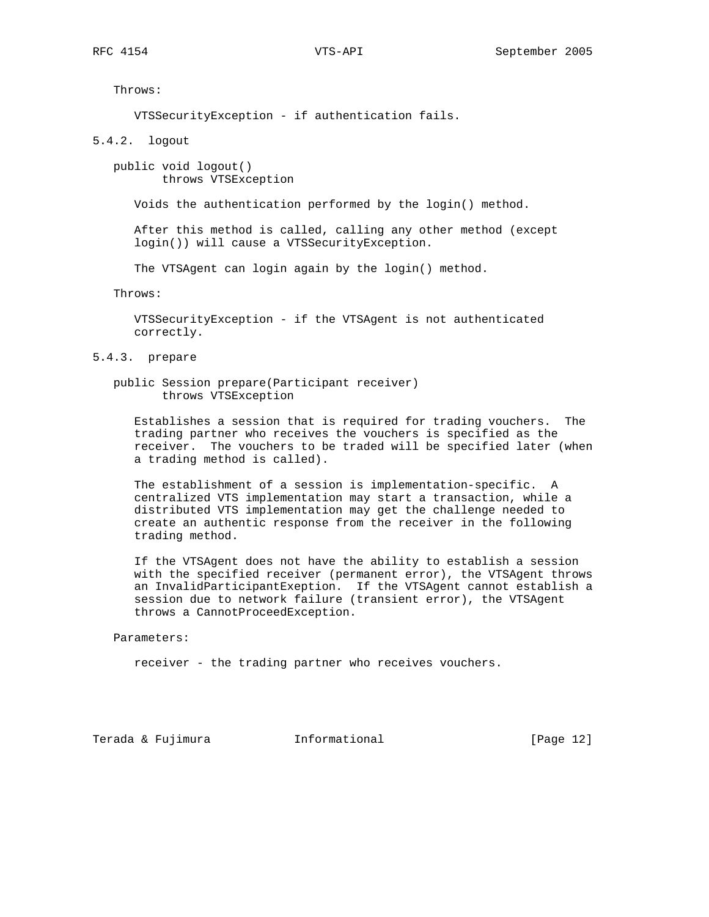Throws:

VTSSecurityException - if authentication fails.

5.4.2. logout

 public void logout() throws VTSException

Voids the authentication performed by the login() method.

 After this method is called, calling any other method (except login()) will cause a VTSSecurityException.

The VTSAgent can login again by the login() method.

Throws:

 VTSSecurityException - if the VTSAgent is not authenticated correctly.

5.4.3. prepare

 public Session prepare(Participant receiver) throws VTSException

 Establishes a session that is required for trading vouchers. The trading partner who receives the vouchers is specified as the receiver. The vouchers to be traded will be specified later (when a trading method is called).

 The establishment of a session is implementation-specific. A centralized VTS implementation may start a transaction, while a distributed VTS implementation may get the challenge needed to create an authentic response from the receiver in the following trading method.

 If the VTSAgent does not have the ability to establish a session with the specified receiver (permanent error), the VTSAgent throws an InvalidParticipantExeption. If the VTSAgent cannot establish a session due to network failure (transient error), the VTSAgent throws a CannotProceedException.

Parameters:

receiver - the trading partner who receives vouchers.

Terada & Fujimura (Informational Terada & Fujimura (Page 12)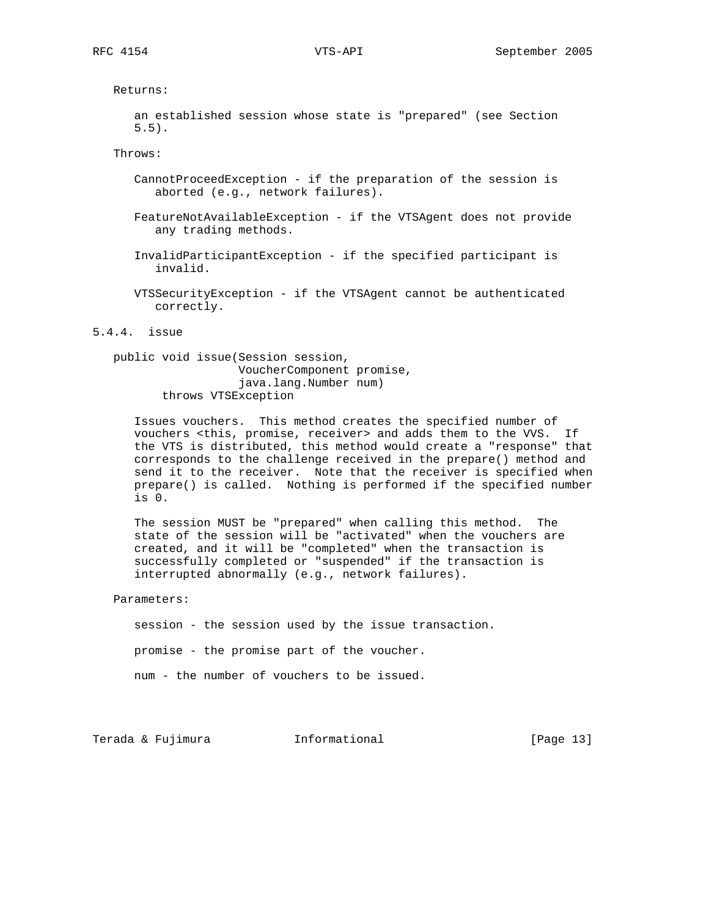Returns:

 an established session whose state is "prepared" (see Section 5.5).

Throws:

- CannotProceedException if the preparation of the session is aborted (e.g., network failures).
- FeatureNotAvailableException if the VTSAgent does not provide any trading methods.
- InvalidParticipantException if the specified participant is invalid.
- VTSSecurityException if the VTSAgent cannot be authenticated correctly.

5.4.4. issue

 public void issue(Session session, VoucherComponent promise, java.lang.Number num) throws VTSException

 Issues vouchers. This method creates the specified number of vouchers <this, promise, receiver> and adds them to the VVS. If the VTS is distributed, this method would create a "response" that corresponds to the challenge received in the prepare() method and send it to the receiver. Note that the receiver is specified when prepare() is called. Nothing is performed if the specified number is 0.

 The session MUST be "prepared" when calling this method. The state of the session will be "activated" when the vouchers are created, and it will be "completed" when the transaction is successfully completed or "suspended" if the transaction is interrupted abnormally (e.g., network failures).

Parameters:

 session - the session used by the issue transaction. promise - the promise part of the voucher.

num - the number of vouchers to be issued.

Terada & Fujimura Informational [Page 13]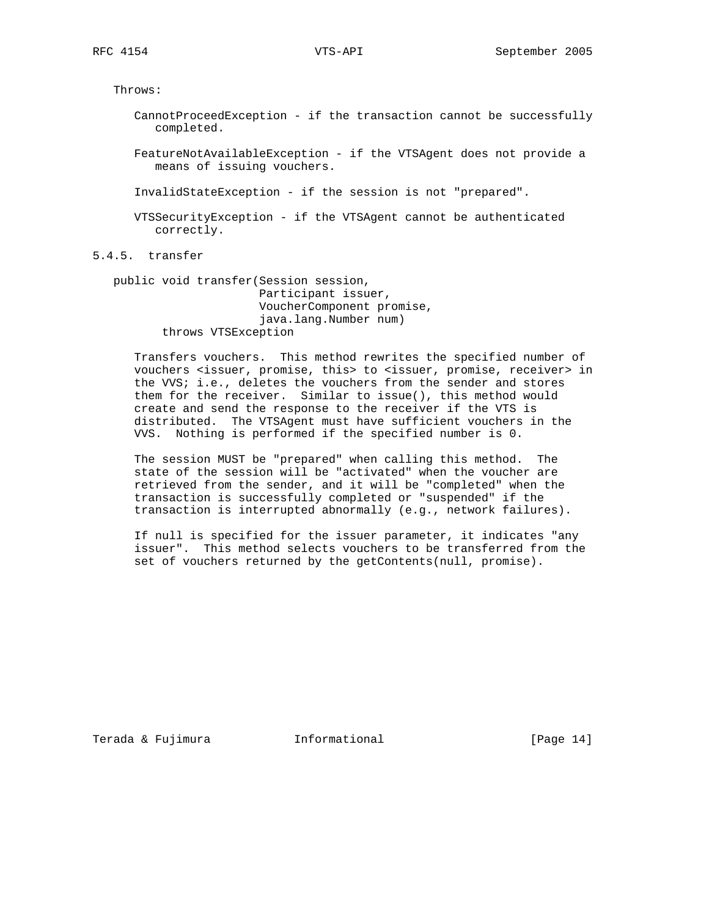Throws:

 CannotProceedException - if the transaction cannot be successfully completed.

 FeatureNotAvailableException - if the VTSAgent does not provide a means of issuing vouchers.

InvalidStateException - if the session is not "prepared".

 VTSSecurityException - if the VTSAgent cannot be authenticated correctly.

5.4.5. transfer

 public void transfer(Session session, Participant issuer, VoucherComponent promise, java.lang.Number num) throws VTSException

 Transfers vouchers. This method rewrites the specified number of vouchers <issuer, promise, this> to <issuer, promise, receiver> in the VVS; i.e., deletes the vouchers from the sender and stores them for the receiver. Similar to issue(), this method would create and send the response to the receiver if the VTS is distributed. The VTSAgent must have sufficient vouchers in the VVS. Nothing is performed if the specified number is 0.

 The session MUST be "prepared" when calling this method. The state of the session will be "activated" when the voucher are retrieved from the sender, and it will be "completed" when the transaction is successfully completed or "suspended" if the transaction is interrupted abnormally (e.g., network failures).

 If null is specified for the issuer parameter, it indicates "any issuer". This method selects vouchers to be transferred from the set of vouchers returned by the getContents(null, promise).

Terada & Fujimura Informational [Page 14]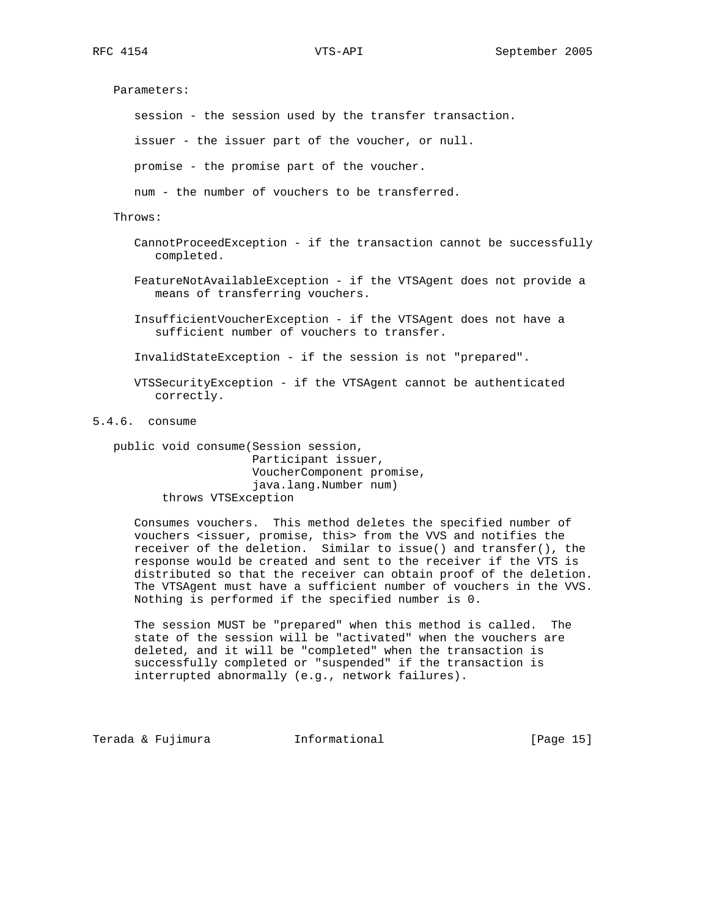Parameters: session - the session used by the transfer transaction. issuer - the issuer part of the voucher, or null. promise - the promise part of the voucher. num - the number of vouchers to be transferred. Throws: CannotProceedException - if the transaction cannot be successfully completed. FeatureNotAvailableException - if the VTSAgent does not provide a means of transferring vouchers. InsufficientVoucherException - if the VTSAgent does not have a sufficient number of vouchers to transfer. InvalidStateException - if the session is not "prepared".

 VTSSecurityException - if the VTSAgent cannot be authenticated correctly.

5.4.6. consume

 public void consume(Session session, Participant issuer, VoucherComponent promise, java.lang.Number num) throws VTSException

 Consumes vouchers. This method deletes the specified number of vouchers <issuer, promise, this> from the VVS and notifies the receiver of the deletion. Similar to issue() and transfer(), the response would be created and sent to the receiver if the VTS is distributed so that the receiver can obtain proof of the deletion. The VTSAgent must have a sufficient number of vouchers in the VVS. Nothing is performed if the specified number is 0.

 The session MUST be "prepared" when this method is called. The state of the session will be "activated" when the vouchers are deleted, and it will be "completed" when the transaction is successfully completed or "suspended" if the transaction is interrupted abnormally (e.g., network failures).

Terada & Fujimura (Informational Terada & Fujimura (Page 15)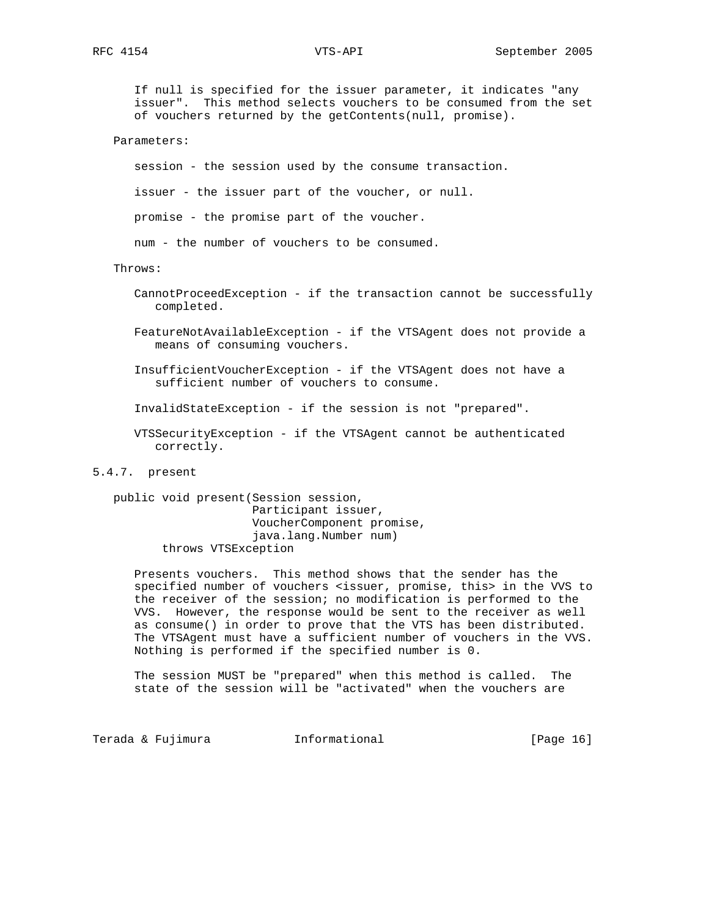If null is specified for the issuer parameter, it indicates "any issuer". This method selects vouchers to be consumed from the set of vouchers returned by the getContents(null, promise).

Parameters:

session - the session used by the consume transaction.

issuer - the issuer part of the voucher, or null.

promise - the promise part of the voucher.

num - the number of vouchers to be consumed.

# Throws:

 CannotProceedException - if the transaction cannot be successfully completed.

 FeatureNotAvailableException - if the VTSAgent does not provide a means of consuming vouchers.

 InsufficientVoucherException - if the VTSAgent does not have a sufficient number of vouchers to consume.

InvalidStateException - if the session is not "prepared".

 VTSSecurityException - if the VTSAgent cannot be authenticated correctly.

# 5.4.7. present

 public void present(Session session, Participant issuer, VoucherComponent promise, java.lang.Number num) throws VTSException

 Presents vouchers. This method shows that the sender has the specified number of vouchers <issuer, promise, this> in the VVS to the receiver of the session; no modification is performed to the VVS. However, the response would be sent to the receiver as well as consume() in order to prove that the VTS has been distributed. The VTSAgent must have a sufficient number of vouchers in the VVS. Nothing is performed if the specified number is 0.

 The session MUST be "prepared" when this method is called. The state of the session will be "activated" when the vouchers are

Terada & Fujimura (Informational Terada & Fujimura (Page 16)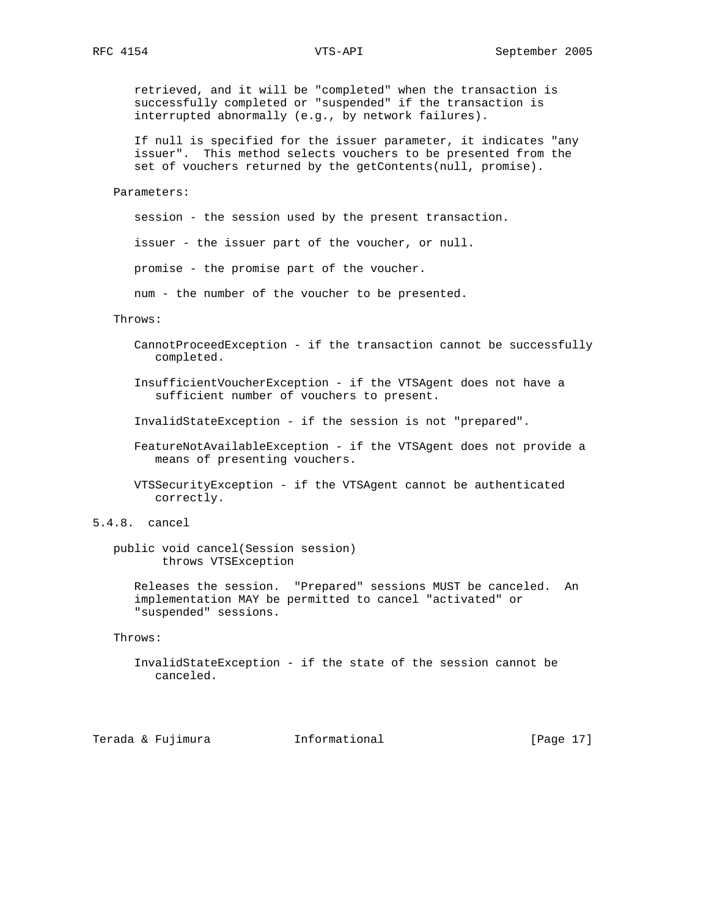retrieved, and it will be "completed" when the transaction is successfully completed or "suspended" if the transaction is interrupted abnormally (e.g., by network failures).

 If null is specified for the issuer parameter, it indicates "any issuer". This method selects vouchers to be presented from the set of vouchers returned by the getContents(null, promise).

Parameters:

session - the session used by the present transaction.

issuer - the issuer part of the voucher, or null.

promise - the promise part of the voucher.

num - the number of the voucher to be presented.

# Throws:

 CannotProceedException - if the transaction cannot be successfully completed.

 InsufficientVoucherException - if the VTSAgent does not have a sufficient number of vouchers to present.

InvalidStateException - if the session is not "prepared".

 FeatureNotAvailableException - if the VTSAgent does not provide a means of presenting vouchers.

 VTSSecurityException - if the VTSAgent cannot be authenticated correctly.

 public void cancel(Session session) throws VTSException

 Releases the session. "Prepared" sessions MUST be canceled. An implementation MAY be permitted to cancel "activated" or "suspended" sessions.

Throws:

```
 InvalidStateException - if the state of the session cannot be
   canceled.
```
Terada & Fujimura (Informational Terada & Fujimura (Page 17)

<sup>5.4.8.</sup> cancel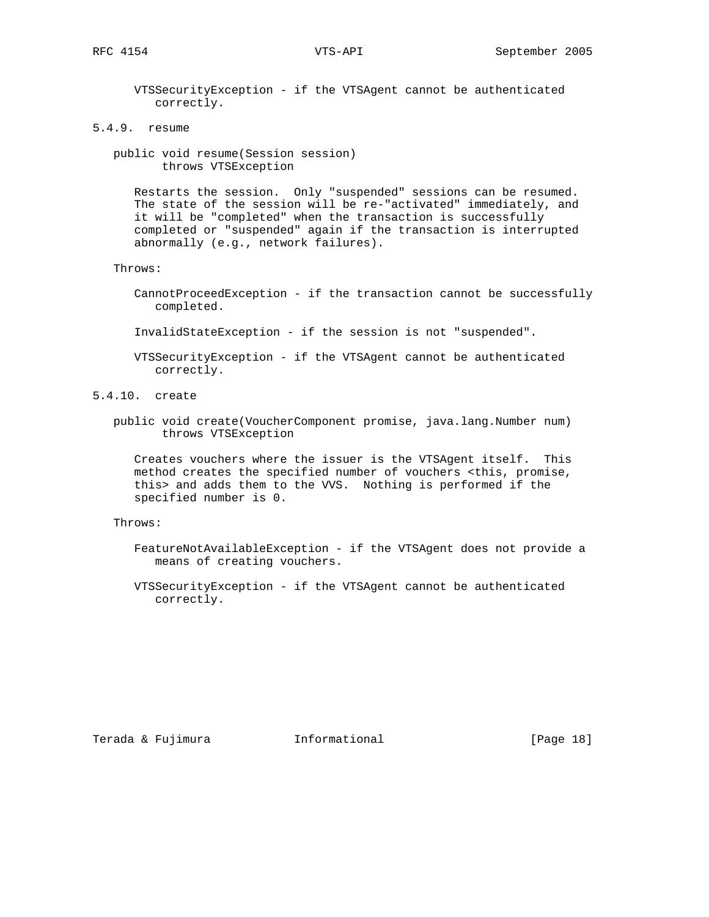VTSSecurityException - if the VTSAgent cannot be authenticated correctly.

- 5.4.9. resume
	- public void resume(Session session) throws VTSException

 Restarts the session. Only "suspended" sessions can be resumed. The state of the session will be re-"activated" immediately, and it will be "completed" when the transaction is successfully completed or "suspended" again if the transaction is interrupted abnormally (e.g., network failures).

- Throws:
	- CannotProceedException if the transaction cannot be successfully completed.
	- InvalidStateException if the session is not "suspended".
	- VTSSecurityException if the VTSAgent cannot be authenticated correctly.
- 5.4.10. create
	- public void create(VoucherComponent promise, java.lang.Number num) throws VTSException

 Creates vouchers where the issuer is the VTSAgent itself. This method creates the specified number of vouchers <this, promise, this> and adds them to the VVS. Nothing is performed if the specified number is 0.

Throws:

- FeatureNotAvailableException if the VTSAgent does not provide a means of creating vouchers.
- VTSSecurityException if the VTSAgent cannot be authenticated correctly.

Terada & Fujimura Informational [Page 18]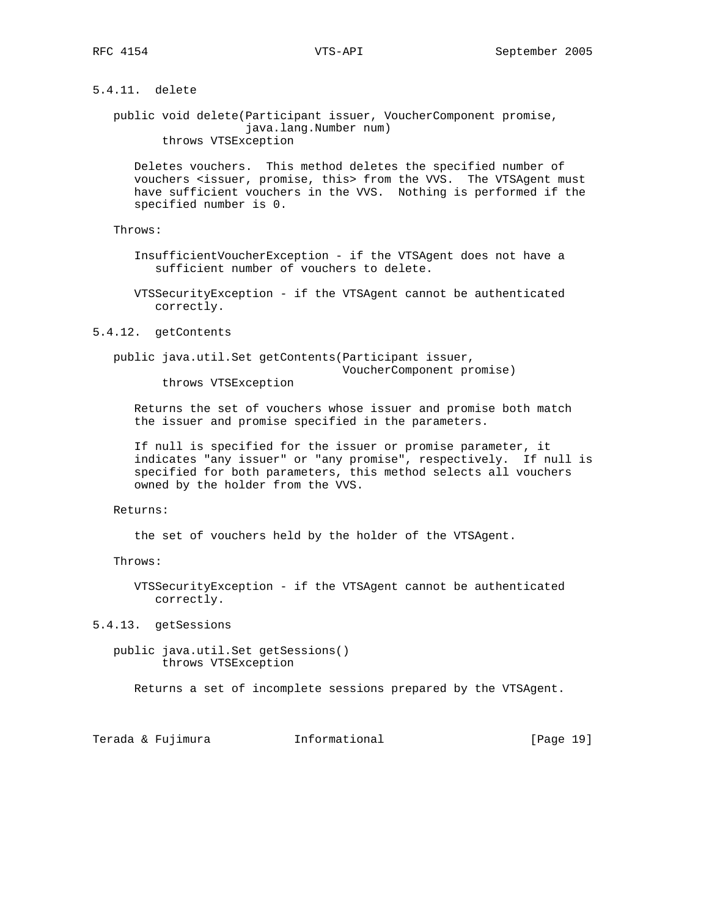# 5.4.11. delete

 public void delete(Participant issuer, VoucherComponent promise, java.lang.Number num) throws VTSException

 Deletes vouchers. This method deletes the specified number of vouchers <issuer, promise, this> from the VVS. The VTSAgent must have sufficient vouchers in the VVS. Nothing is performed if the specified number is 0.

Throws:

 InsufficientVoucherException - if the VTSAgent does not have a sufficient number of vouchers to delete.

 VTSSecurityException - if the VTSAgent cannot be authenticated correctly.

### 5.4.12. getContents

 public java.util.Set getContents(Participant issuer, VoucherComponent promise)

throws VTSException

 Returns the set of vouchers whose issuer and promise both match the issuer and promise specified in the parameters.

 If null is specified for the issuer or promise parameter, it indicates "any issuer" or "any promise", respectively. If null is specified for both parameters, this method selects all vouchers owned by the holder from the VVS.

# Returns:

the set of vouchers held by the holder of the VTSAgent.

Throws:

 VTSSecurityException - if the VTSAgent cannot be authenticated correctly.

5.4.13. getSessions

 public java.util.Set getSessions() throws VTSException

Returns a set of incomplete sessions prepared by the VTSAgent.

Terada & Fujimura Informational [Page 19]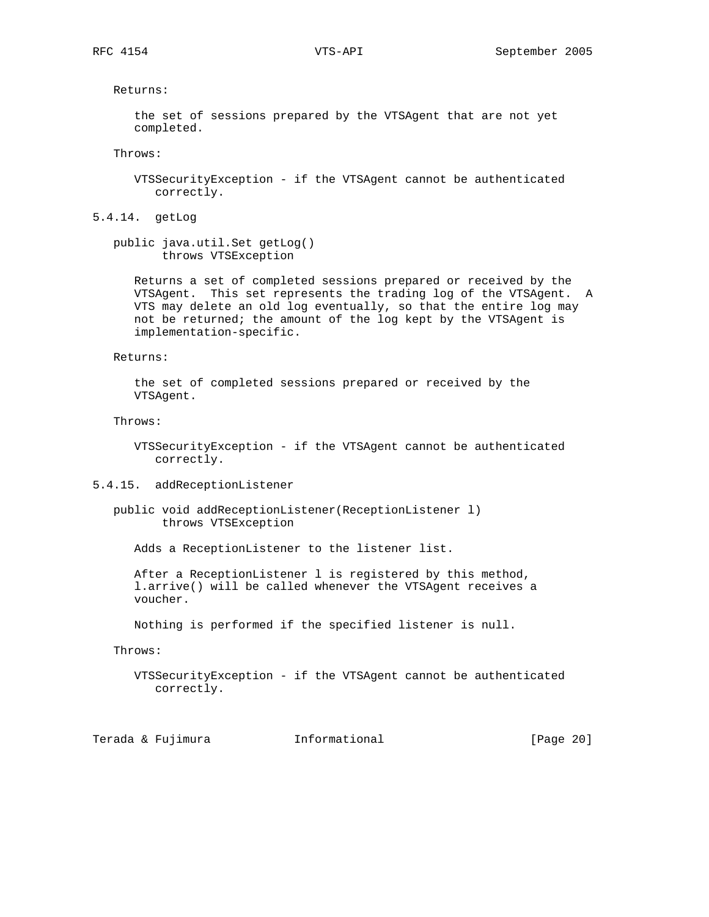Returns:

 the set of sessions prepared by the VTSAgent that are not yet completed.

Throws:

 VTSSecurityException - if the VTSAgent cannot be authenticated correctly.

5.4.14. getLog

 public java.util.Set getLog() throws VTSException

 Returns a set of completed sessions prepared or received by the VTSAgent. This set represents the trading log of the VTSAgent. A VTS may delete an old log eventually, so that the entire log may not be returned; the amount of the log kept by the VTSAgent is implementation-specific.

Returns:

 the set of completed sessions prepared or received by the VTSAgent.

Throws:

 VTSSecurityException - if the VTSAgent cannot be authenticated correctly.

5.4.15. addReceptionListener

 public void addReceptionListener(ReceptionListener l) throws VTSException

Adds a ReceptionListener to the listener list.

 After a ReceptionListener l is registered by this method, l.arrive() will be called whenever the VTSAgent receives a voucher.

Nothing is performed if the specified listener is null.

Throws:

 VTSSecurityException - if the VTSAgent cannot be authenticated correctly.

Terada & Fujimura Informational [Page 20]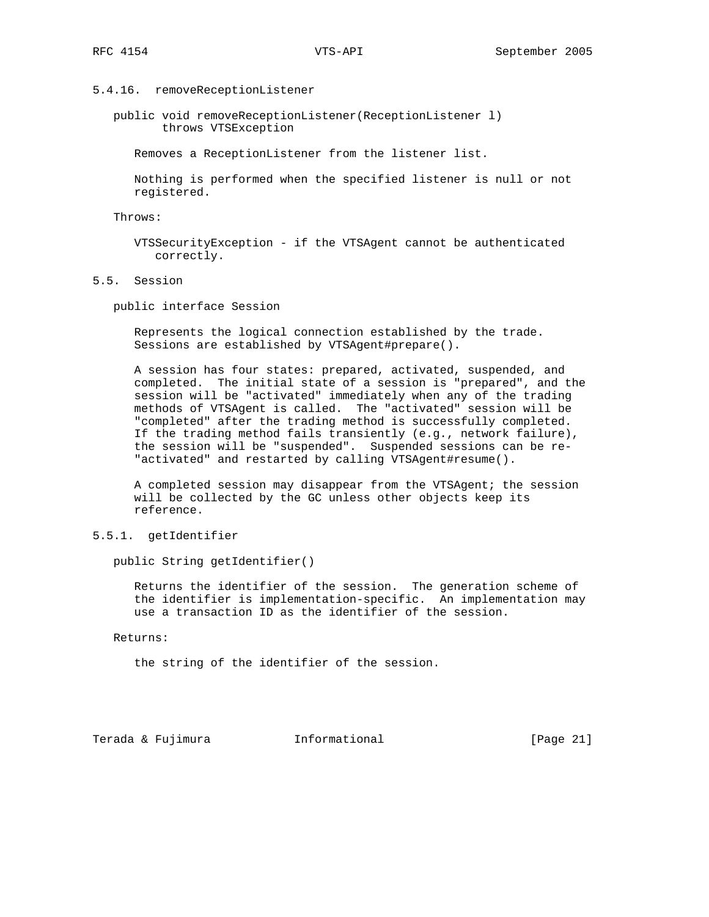# 5.4.16. removeReceptionListener

 public void removeReceptionListener(ReceptionListener l) throws VTSException

Removes a ReceptionListener from the listener list.

 Nothing is performed when the specified listener is null or not registered.

Throws:

 VTSSecurityException - if the VTSAgent cannot be authenticated correctly.

5.5. Session

public interface Session

 Represents the logical connection established by the trade. Sessions are established by VTSAgent#prepare().

 A session has four states: prepared, activated, suspended, and completed. The initial state of a session is "prepared", and the session will be "activated" immediately when any of the trading methods of VTSAgent is called. The "activated" session will be "completed" after the trading method is successfully completed. If the trading method fails transiently (e.g., network failure), the session will be "suspended". Suspended sessions can be re- "activated" and restarted by calling VTSAgent#resume().

 A completed session may disappear from the VTSAgent; the session will be collected by the GC unless other objects keep its reference.

5.5.1. getIdentifier

public String getIdentifier()

 Returns the identifier of the session. The generation scheme of the identifier is implementation-specific. An implementation may use a transaction ID as the identifier of the session.

Returns:

the string of the identifier of the session.

Terada & Fujimura Informational [Page 21]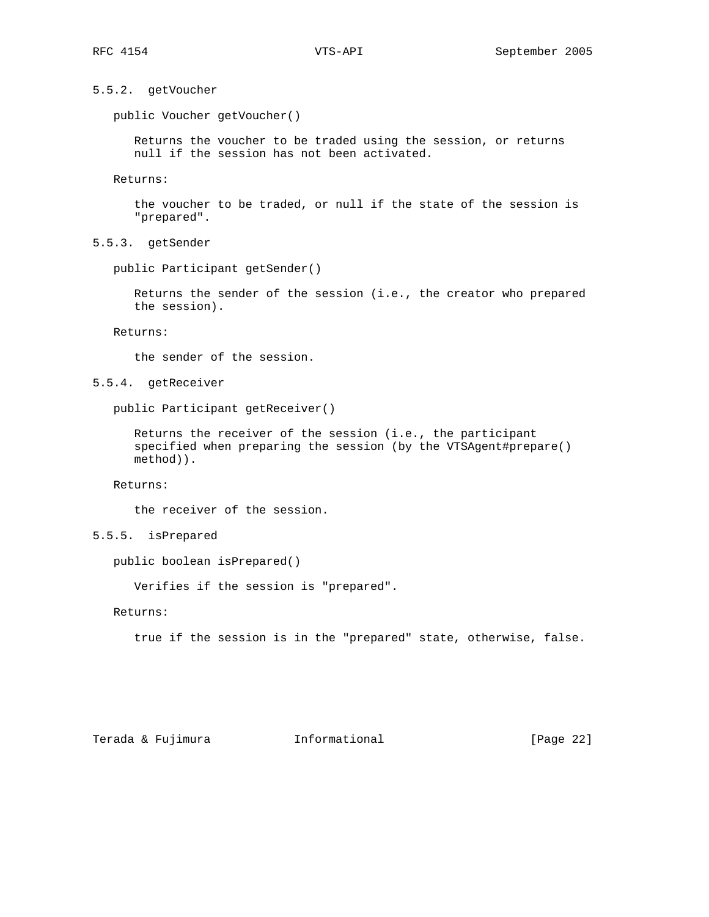5.5.2. getVoucher

public Voucher getVoucher()

 Returns the voucher to be traded using the session, or returns null if the session has not been activated.

Returns:

 the voucher to be traded, or null if the state of the session is "prepared".

5.5.3. getSender

public Participant getSender()

 Returns the sender of the session (i.e., the creator who prepared the session).

Returns:

the sender of the session.

5.5.4. getReceiver

public Participant getReceiver()

 Returns the receiver of the session (i.e., the participant specified when preparing the session (by the VTSAgent#prepare() method)).

Returns:

the receiver of the session.

5.5.5. isPrepared

public boolean isPrepared()

Verifies if the session is "prepared".

Returns:

true if the session is in the "prepared" state, otherwise, false.

Terada & Fujimura Informational [Page 22]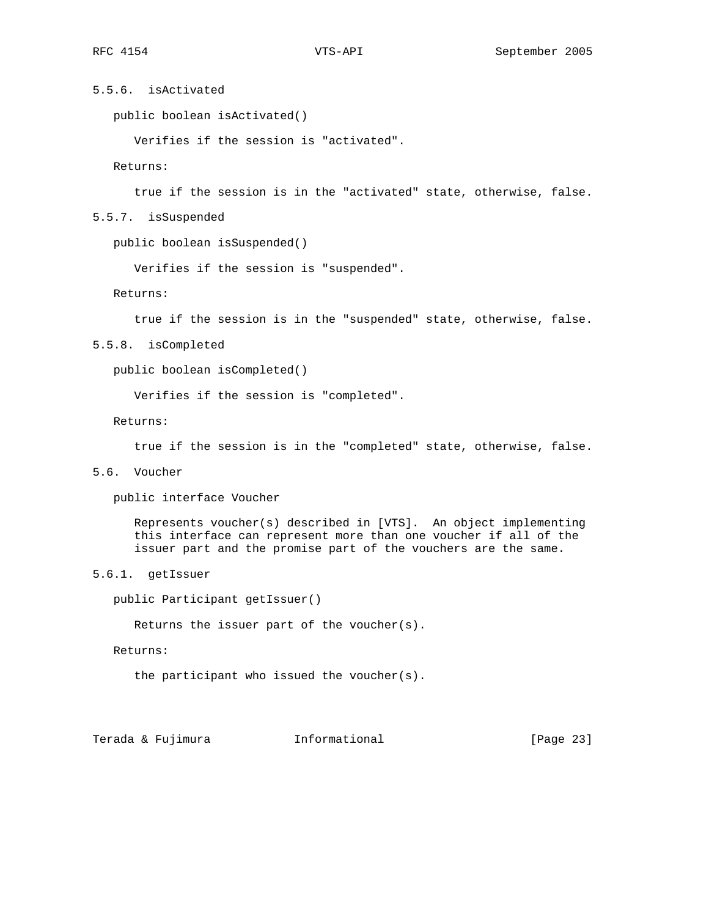# 5.5.6. isActivated

public boolean isActivated()

Verifies if the session is "activated".

Returns:

true if the session is in the "activated" state, otherwise, false.

5.5.7. isSuspended

public boolean isSuspended()

Verifies if the session is "suspended".

Returns:

true if the session is in the "suspended" state, otherwise, false.

5.5.8. isCompleted

public boolean isCompleted()

Verifies if the session is "completed".

Returns:

true if the session is in the "completed" state, otherwise, false.

5.6. Voucher

public interface Voucher

 Represents voucher(s) described in [VTS]. An object implementing this interface can represent more than one voucher if all of the issuer part and the promise part of the vouchers are the same.

5.6.1. getIssuer

public Participant getIssuer()

Returns the issuer part of the voucher(s).

Returns:

the participant who issued the voucher(s).

Terada & Fujimura Informational [Page 23]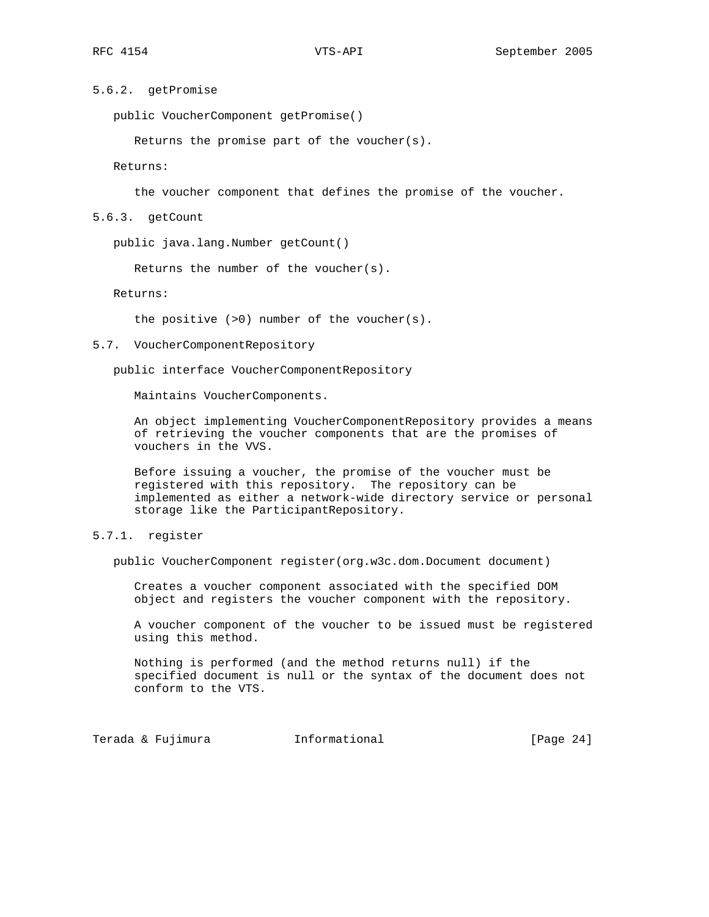# 5.6.2. getPromise

public VoucherComponent getPromise()

Returns the promise part of the voucher(s).

Returns:

the voucher component that defines the promise of the voucher.

# 5.6.3. getCount

public java.lang.Number getCount()

Returns the number of the voucher(s).

Returns:

the positive (>0) number of the voucher(s).

5.7. VoucherComponentRepository

public interface VoucherComponentRepository

Maintains VoucherComponents.

 An object implementing VoucherComponentRepository provides a means of retrieving the voucher components that are the promises of vouchers in the VVS.

 Before issuing a voucher, the promise of the voucher must be registered with this repository. The repository can be implemented as either a network-wide directory service or personal storage like the ParticipantRepository.

# 5.7.1. register

public VoucherComponent register(org.w3c.dom.Document document)

 Creates a voucher component associated with the specified DOM object and registers the voucher component with the repository.

 A voucher component of the voucher to be issued must be registered using this method.

 Nothing is performed (and the method returns null) if the specified document is null or the syntax of the document does not conform to the VTS.

Terada & Fujimura (Informational Terada & Fujimura (Page 24)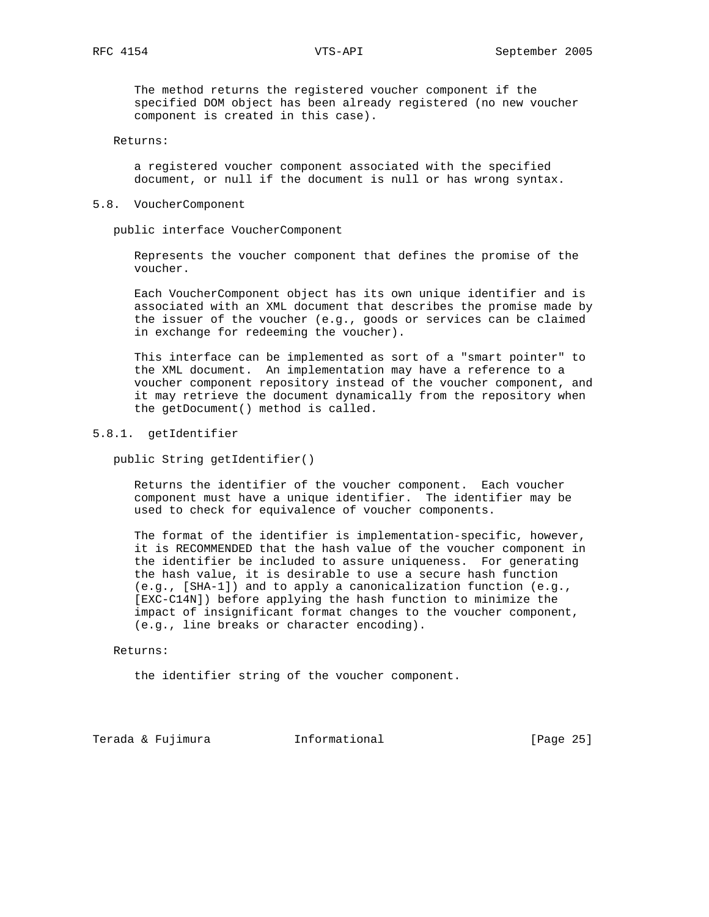The method returns the registered voucher component if the specified DOM object has been already registered (no new voucher component is created in this case).

## Returns:

 a registered voucher component associated with the specified document, or null if the document is null or has wrong syntax.

# 5.8. VoucherComponent

public interface VoucherComponent

 Represents the voucher component that defines the promise of the voucher.

 Each VoucherComponent object has its own unique identifier and is associated with an XML document that describes the promise made by the issuer of the voucher (e.g., goods or services can be claimed in exchange for redeeming the voucher).

 This interface can be implemented as sort of a "smart pointer" to the XML document. An implementation may have a reference to a voucher component repository instead of the voucher component, and it may retrieve the document dynamically from the repository when the getDocument() method is called.

## 5.8.1. getIdentifier

public String getIdentifier()

 Returns the identifier of the voucher component. Each voucher component must have a unique identifier. The identifier may be used to check for equivalence of voucher components.

 The format of the identifier is implementation-specific, however, it is RECOMMENDED that the hash value of the voucher component in the identifier be included to assure uniqueness. For generating the hash value, it is desirable to use a secure hash function (e.g., [SHA-1]) and to apply a canonicalization function (e.g., [EXC-C14N]) before applying the hash function to minimize the impact of insignificant format changes to the voucher component, (e.g., line breaks or character encoding).

### Returns:

the identifier string of the voucher component.

Terada & Fujimura Informational [Page 25]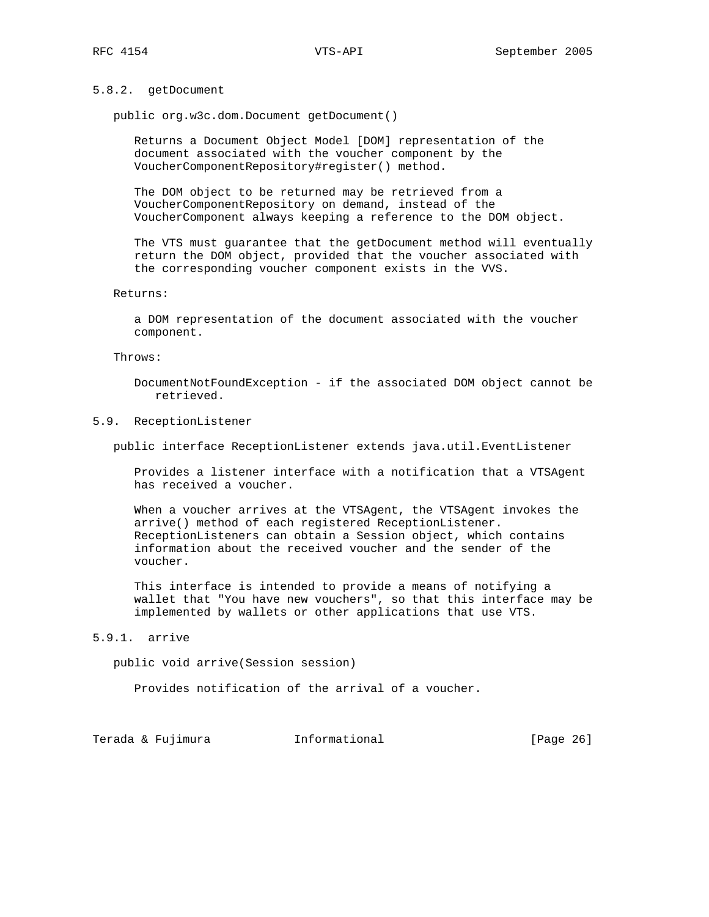# 5.8.2. getDocument

public org.w3c.dom.Document getDocument()

 Returns a Document Object Model [DOM] representation of the document associated with the voucher component by the VoucherComponentRepository#register() method.

 The DOM object to be returned may be retrieved from a VoucherComponentRepository on demand, instead of the VoucherComponent always keeping a reference to the DOM object.

 The VTS must guarantee that the getDocument method will eventually return the DOM object, provided that the voucher associated with the corresponding voucher component exists in the VVS.

# Returns:

 a DOM representation of the document associated with the voucher component.

### Throws:

 DocumentNotFoundException - if the associated DOM object cannot be retrieved.

# 5.9. ReceptionListener

public interface ReceptionListener extends java.util.EventListener

 Provides a listener interface with a notification that a VTSAgent has received a voucher.

 When a voucher arrives at the VTSAgent, the VTSAgent invokes the arrive() method of each registered ReceptionListener. ReceptionListeners can obtain a Session object, which contains information about the received voucher and the sender of the voucher.

 This interface is intended to provide a means of notifying a wallet that "You have new vouchers", so that this interface may be implemented by wallets or other applications that use VTS.

# 5.9.1. arrive

public void arrive(Session session)

Provides notification of the arrival of a voucher.

|  |  | Terada & Fujimura | Informational | [Page 26] |
|--|--|-------------------|---------------|-----------|
|--|--|-------------------|---------------|-----------|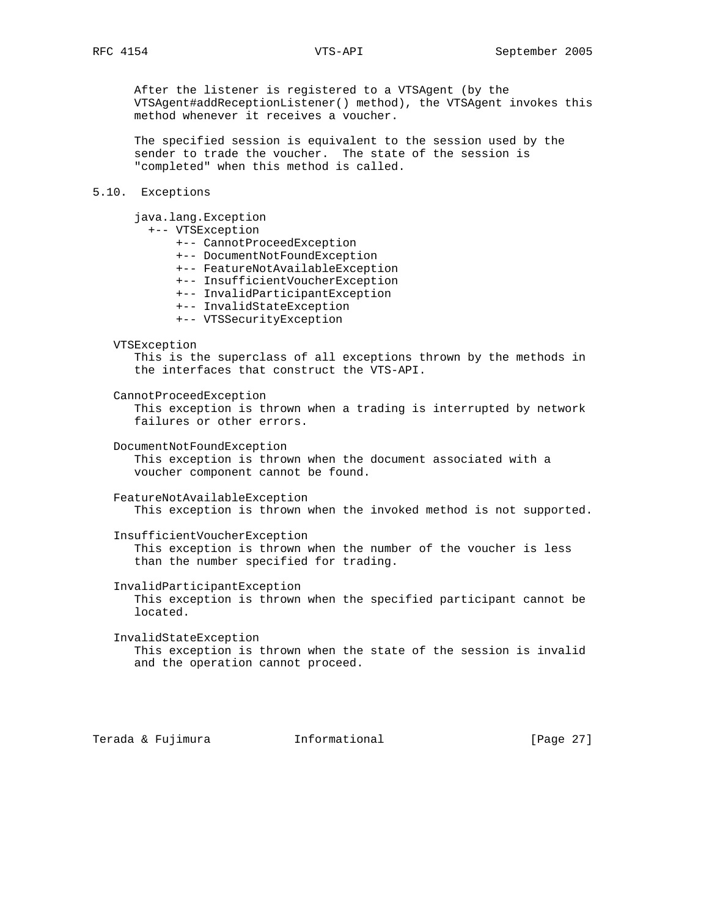After the listener is registered to a VTSAgent (by the VTSAgent#addReceptionListener() method), the VTSAgent invokes this method whenever it receives a voucher.

 The specified session is equivalent to the session used by the sender to trade the voucher. The state of the session is "completed" when this method is called.

# 5.10. Exceptions

java.lang.Exception

# +-- VTSException

- +-- CannotProceedException
- +-- DocumentNotFoundException
- +-- FeatureNotAvailableException
- +-- InsufficientVoucherException
- +-- InvalidParticipantException
- +-- InvalidStateException
- +-- VTSSecurityException

### VTSException

 This is the superclass of all exceptions thrown by the methods in the interfaces that construct the VTS-API.

CannotProceedException

 This exception is thrown when a trading is interrupted by network failures or other errors.

DocumentNotFoundException

 This exception is thrown when the document associated with a voucher component cannot be found.

 FeatureNotAvailableException This exception is thrown when the invoked method is not supported.

InsufficientVoucherException

 This exception is thrown when the number of the voucher is less than the number specified for trading.

InvalidParticipantException

 This exception is thrown when the specified participant cannot be located.

 InvalidStateException This exception is thrown when the state of the session is invalid and the operation cannot proceed.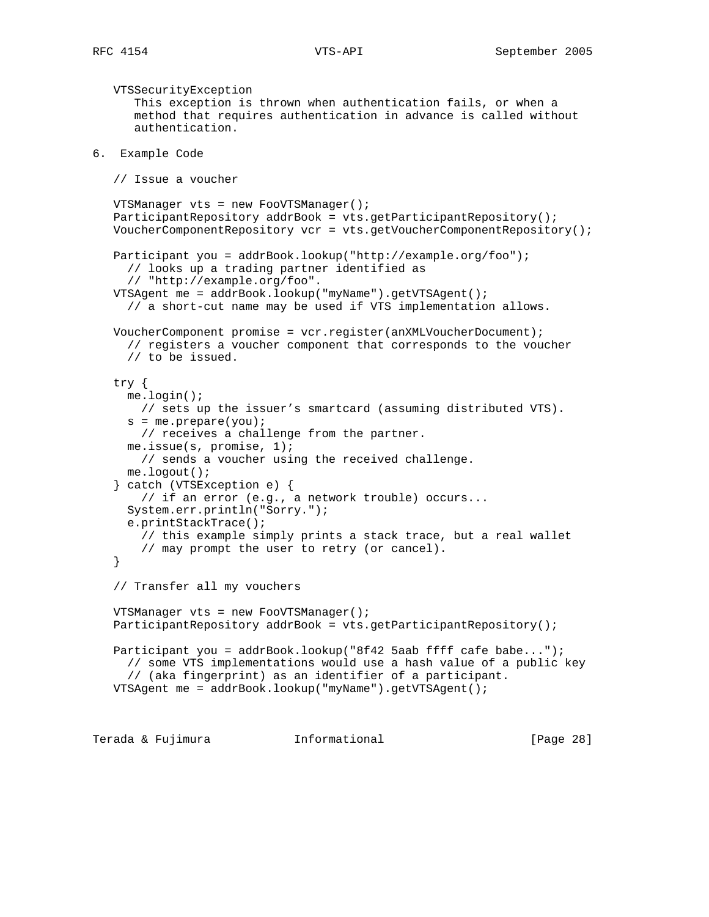```
 VTSSecurityException
       This exception is thrown when authentication fails, or when a
       method that requires authentication in advance is called without
       authentication.
6. Example Code
    // Issue a voucher
   VTSManager vts = new FooVTSManager();
   ParticipantRepository addrBook = vts.getParticipantRepository();
   VoucherComponentRepository vcr = vts.getVoucherComponentRepository();
    Participant you = addrBook.lookup("http://example.org/foo");
      // looks up a trading partner identified as
      // "http://example.org/foo".
   VTSAgent me = addrBook.lookup("myName").getVTSAgent();
      // a short-cut name may be used if VTS implementation allows.
   VoucherComponent promise = vcr.register(anXMLVoucherDocument);
      // registers a voucher component that corresponds to the voucher
      // to be issued.
    try {
     me.login();
       // sets up the issuer's smartcard (assuming distributed VTS).
     s = me.prepare(you); // receives a challenge from the partner.
     me.issue(s, promise, 1);
       // sends a voucher using the received challenge.
     me.logout();
    } catch (VTSException e) {
       // if an error (e.g., a network trouble) occurs...
      System.err.println("Sorry.");
      e.printStackTrace();
       // this example simply prints a stack trace, but a real wallet
        // may prompt the user to retry (or cancel).
    }
    // Transfer all my vouchers
   VTSManager vts = new FooVTSManager();
    ParticipantRepository addrBook = vts.getParticipantRepository();
    Participant you = addrBook.lookup("8f42 5aab ffff cafe babe...");
     // some VTS implementations would use a hash value of a public key
      // (aka fingerprint) as an identifier of a participant.
   VTSAgent me = addrBook.lookup("myName").getVTSAgent();
```
Terada & Fujimura Informational [Page 28]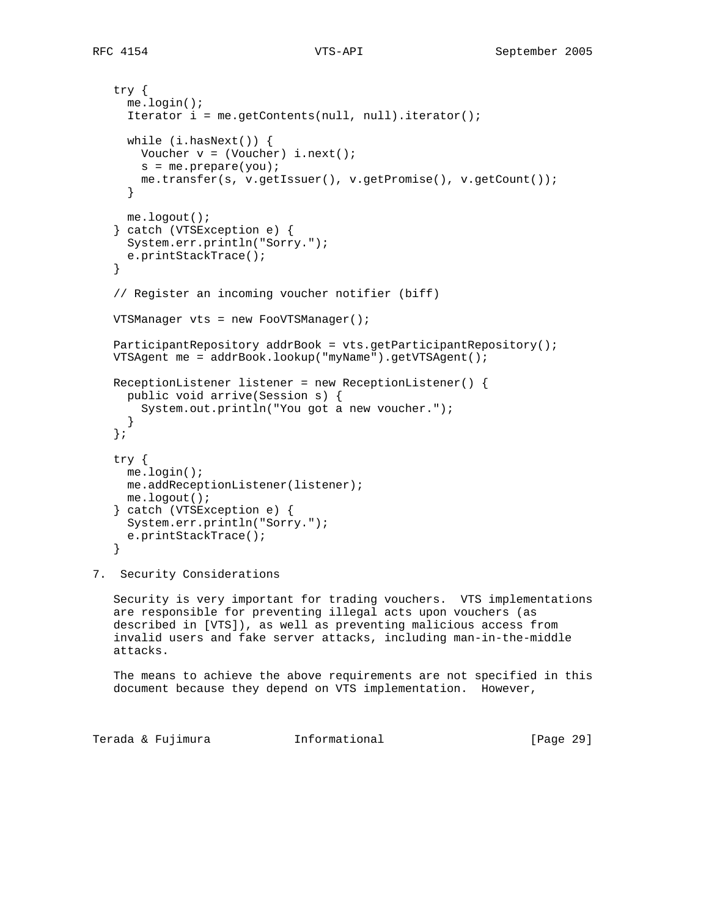```
 try {
     me.login();
      Iterator i = me.getContents(null, null).iterator();
     while (i.hasNext()) {
      Voucher v = (Voucher) i.next();
      s = me.prepare(you); me.transfer(s, v.getIssuer(), v.getPromise(), v.getCount());
      }
     me.logout();
   } catch (VTSException e) {
     System.err.println("Sorry.");
     e.printStackTrace();
   }
   // Register an incoming voucher notifier (biff)
   VTSManager vts = new FooVTSManager();
   ParticipantRepository addrBook = vts.getParticipantRepository();
   VTSAgent me = addrBook.lookup("myName").getVTSAgent();
   ReceptionListener listener = new ReceptionListener() {
     public void arrive(Session s) {
       System.out.println("You got a new voucher.");
 }
   };
   try {
    me.login();
     me.addReceptionListener(listener);
     me.logout();
   } catch (VTSException e) {
     System.err.println("Sorry.");
     e.printStackTrace();
   }
```
7. Security Considerations

 Security is very important for trading vouchers. VTS implementations are responsible for preventing illegal acts upon vouchers (as described in [VTS]), as well as preventing malicious access from invalid users and fake server attacks, including man-in-the-middle attacks.

 The means to achieve the above requirements are not specified in this document because they depend on VTS implementation. However,

Terada & Fujimura Informational [Page 29]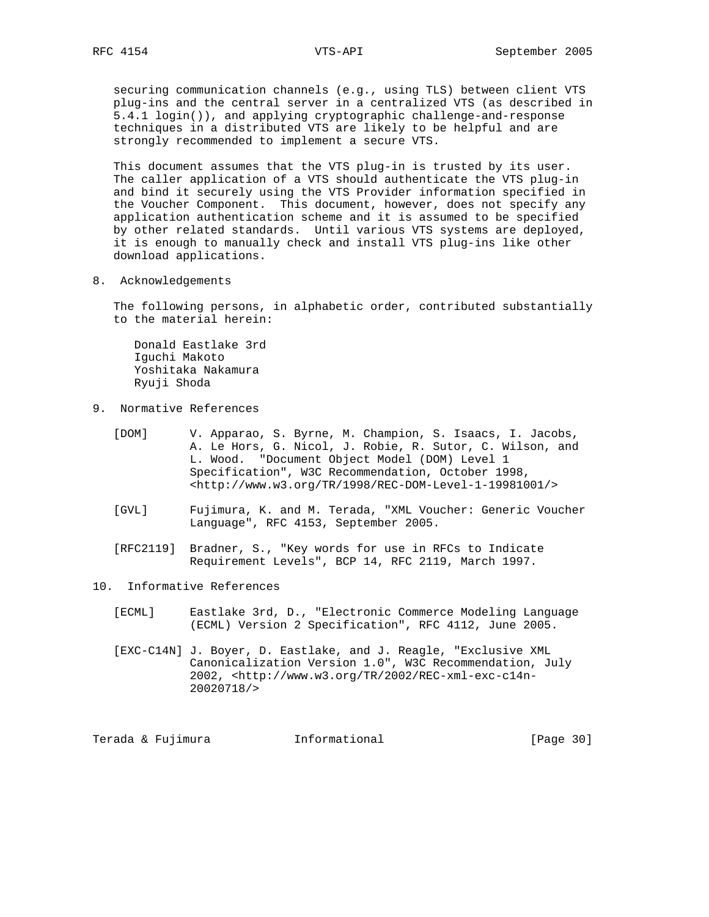securing communication channels (e.g., using TLS) between client VTS plug-ins and the central server in a centralized VTS (as described in 5.4.1 login()), and applying cryptographic challenge-and-response techniques in a distributed VTS are likely to be helpful and are strongly recommended to implement a secure VTS.

 This document assumes that the VTS plug-in is trusted by its user. The caller application of a VTS should authenticate the VTS plug-in and bind it securely using the VTS Provider information specified in the Voucher Component. This document, however, does not specify any application authentication scheme and it is assumed to be specified by other related standards. Until various VTS systems are deployed, it is enough to manually check and install VTS plug-ins like other download applications.

8. Acknowledgements

 The following persons, in alphabetic order, contributed substantially to the material herein:

 Donald Eastlake 3rd Iguchi Makoto Yoshitaka Nakamura Ryuji Shoda

9. Normative References

 [DOM] V. Apparao, S. Byrne, M. Champion, S. Isaacs, I. Jacobs, A. Le Hors, G. Nicol, J. Robie, R. Sutor, C. Wilson, and L. Wood. "Document Object Model (DOM) Level 1 Specification", W3C Recommendation, October 1998, <http://www.w3.org/TR/1998/REC-DOM-Level-1-19981001/>

- [GVL] Fujimura, K. and M. Terada, "XML Voucher: Generic Voucher Language", RFC 4153, September 2005.
- [RFC2119] Bradner, S., "Key words for use in RFCs to Indicate Requirement Levels", BCP 14, RFC 2119, March 1997.
- 10. Informative References
	- [ECML] Eastlake 3rd, D., "Electronic Commerce Modeling Language (ECML) Version 2 Specification", RFC 4112, June 2005.
	- [EXC-C14N] J. Boyer, D. Eastlake, and J. Reagle, "Exclusive XML Canonicalization Version 1.0", W3C Recommendation, July 2002, <http://www.w3.org/TR/2002/REC-xml-exc-c14n- 20020718/>

Terada & Fujimura Informational [Page 30]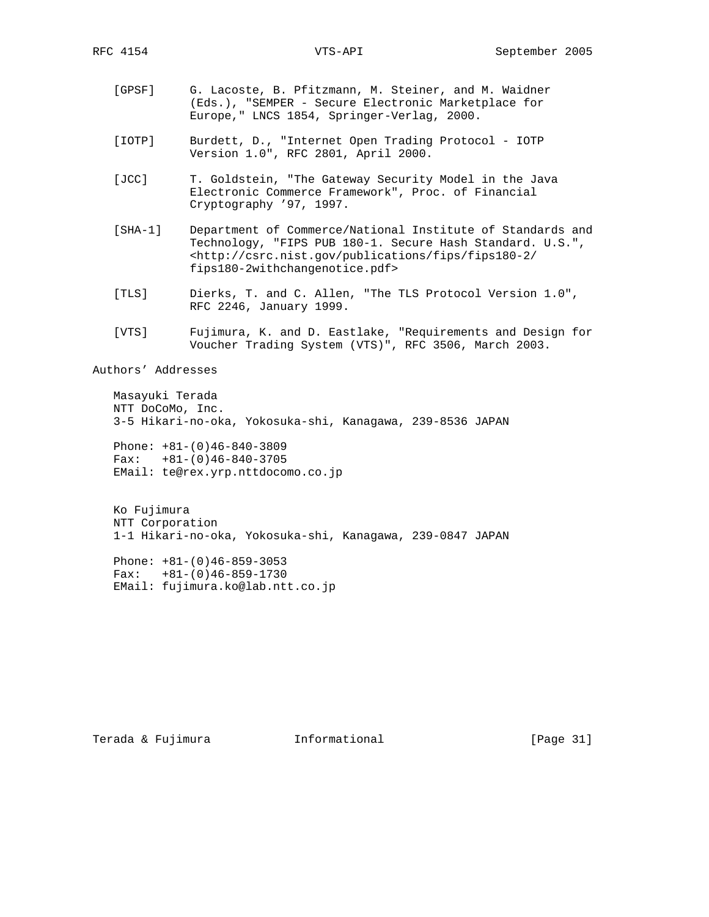- [GPSF] G. Lacoste, B. Pfitzmann, M. Steiner, and M. Waidner (Eds.), "SEMPER - Secure Electronic Marketplace for Europe," LNCS 1854, Springer-Verlag, 2000.
- [IOTP] Burdett, D., "Internet Open Trading Protocol IOTP Version 1.0", RFC 2801, April 2000.
- [JCC] T. Goldstein, "The Gateway Security Model in the Java Electronic Commerce Framework", Proc. of Financial Cryptography '97, 1997.
- [SHA-1] Department of Commerce/National Institute of Standards and Technology, "FIPS PUB 180-1. Secure Hash Standard. U.S.", <http://csrc.nist.gov/publications/fips/fips180-2/ fips180-2withchangenotice.pdf>
- [TLS] Dierks, T. and C. Allen, "The TLS Protocol Version 1.0", RFC 2246, January 1999.
- [VTS] Fujimura, K. and D. Eastlake, "Requirements and Design for Voucher Trading System (VTS)", RFC 3506, March 2003.

Authors' Addresses

 Masayuki Terada NTT DoCoMo, Inc. 3-5 Hikari-no-oka, Yokosuka-shi, Kanagawa, 239-8536 JAPAN

 Phone: +81-(0)46-840-3809 Fax:  $+81-(0)46-840-3705$ EMail: te@rex.yrp.nttdocomo.co.jp

 Ko Fujimura NTT Corporation 1-1 Hikari-no-oka, Yokosuka-shi, Kanagawa, 239-0847 JAPAN

 Phone: +81-(0)46-859-3053 Fax:  $+81-(0)46-859-1730$ EMail: fujimura.ko@lab.ntt.co.jp

Terada & Fujimura Informational Informational [Page 31]